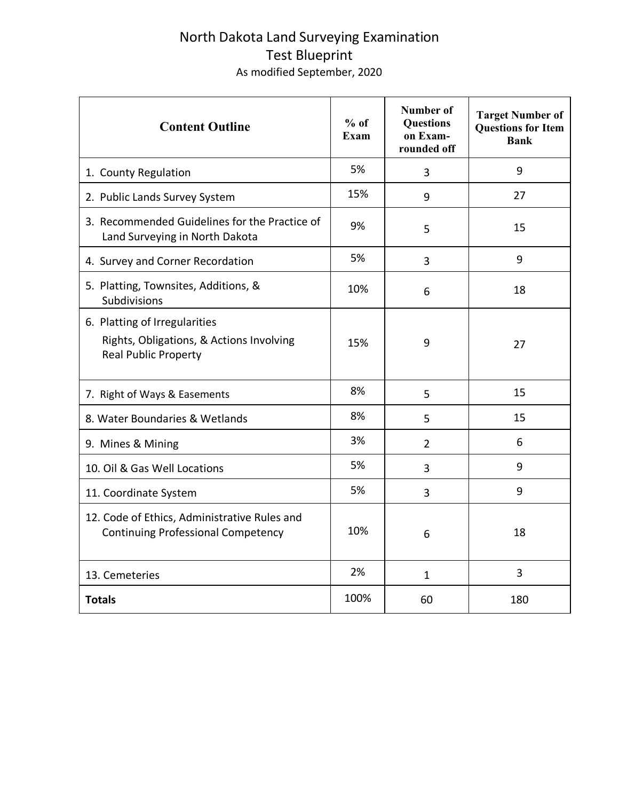## North Dakota Land Surveying Examination Test Blueprint As modified September, 2020

| <b>Content Outline</b>                                                                                   | $%$ of<br>Exam | Number of<br><b>Questions</b><br>on Exam-<br>rounded off | <b>Target Number of</b><br><b>Questions for Item</b><br><b>Bank</b> |
|----------------------------------------------------------------------------------------------------------|----------------|----------------------------------------------------------|---------------------------------------------------------------------|
| 1. County Regulation                                                                                     | 5%             | 3                                                        | 9                                                                   |
| 2. Public Lands Survey System                                                                            | 15%            | 9                                                        | 27                                                                  |
| 3. Recommended Guidelines for the Practice of<br>Land Surveying in North Dakota                          | 9%             | 5                                                        | 15                                                                  |
| 4. Survey and Corner Recordation                                                                         | 5%             | 3                                                        | 9                                                                   |
| 5. Platting, Townsites, Additions, &<br>Subdivisions                                                     | 10%            | 6                                                        | 18                                                                  |
| 6. Platting of Irregularities<br>Rights, Obligations, & Actions Involving<br><b>Real Public Property</b> | 15%            | 9                                                        | 27                                                                  |
| 7. Right of Ways & Easements                                                                             | 8%             | 5                                                        | 15                                                                  |
| 8. Water Boundaries & Wetlands                                                                           | 8%             | 5                                                        | 15                                                                  |
| 9. Mines & Mining                                                                                        | 3%             | $\overline{2}$                                           | 6                                                                   |
| 10. Oil & Gas Well Locations                                                                             | 5%             | 3                                                        | 9                                                                   |
| 11. Coordinate System                                                                                    | 5%             | 3                                                        | 9                                                                   |
| 12. Code of Ethics, Administrative Rules and<br><b>Continuing Professional Competency</b>                | 10%            | 6                                                        | 18                                                                  |
| 13. Cemeteries                                                                                           | 2%             | $\mathbf{1}$                                             | 3                                                                   |
| <b>Totals</b>                                                                                            | 100%           | 60                                                       | 180                                                                 |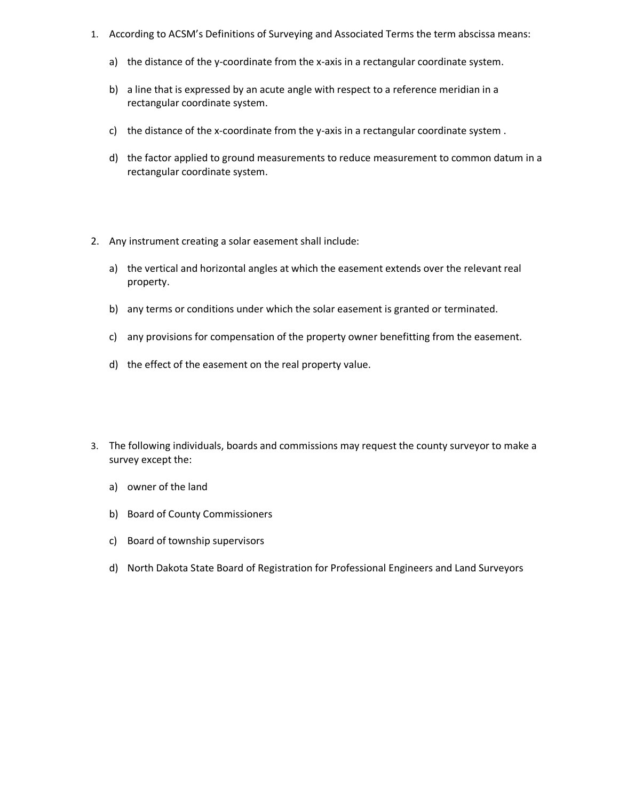- 1. According to ACSM's Definitions of Surveying and Associated Terms the term abscissa means:
	- a) the distance of the y-coordinate from the x-axis in a rectangular coordinate system.
	- b) a line that is expressed by an acute angle with respect to a reference meridian in a rectangular coordinate system.
	- c) the distance of the x-coordinate from the y-axis in a rectangular coordinate system .
	- d) the factor applied to ground measurements to reduce measurement to common datum in a rectangular coordinate system.
- 2. Any instrument creating a solar easement shall include:
	- a) the vertical and horizontal angles at which the easement extends over the relevant real property.
	- b) any terms or conditions under which the solar easement is granted or terminated.
	- c) any provisions for compensation of the property owner benefitting from the easement.
	- d) the effect of the easement on the real property value.
- 3. The following individuals, boards and commissions may request the county surveyor to make a survey except the:
	- a) owner of the land
	- b) Board of County Commissioners
	- c) Board of township supervisors
	- d) North Dakota State Board of Registration for Professional Engineers and Land Surveyors